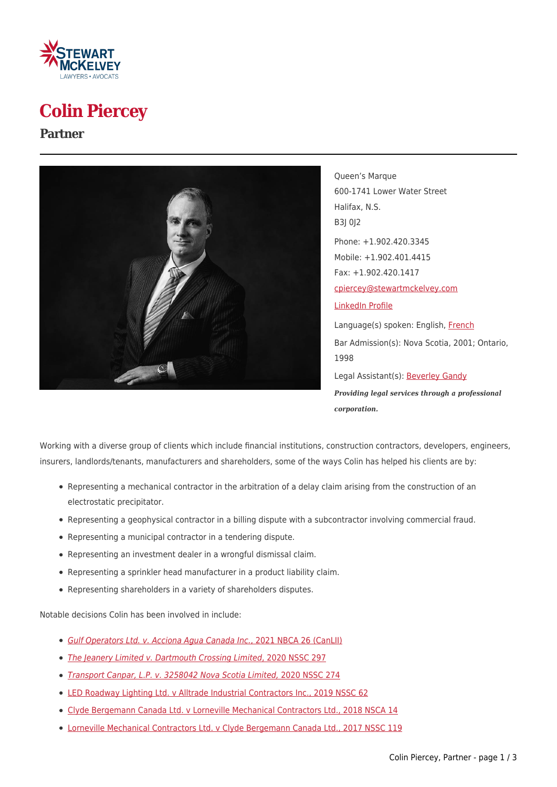

# **Colin Piercey**

#### **Partner**



Queen's Marque 600-1741 Lower Water Street Halifax, N.S. B3J 0J2 Phone: +1.902.420.3345 Mobile: +1.902.401.4415 Fax: +1.902.420.1417 [cpiercey@stewartmckelvey.com](mailto:cpiercey@stewartmckelvey.com) [LinkedIn Profile](http://www.linkedin.com/pub/colin-piercey/14/12a/51) Language(s) spoken: English, [French](https://www.stewartmckelvey.com/fr/people/piercey-colin) Bar Admission(s): Nova Scotia, 2001; Ontario, 1998 Legal Assistant(s): [Beverley Gandy](https://www.stewartmckelvey.com/legal_assistant/gandy-beverley) *Providing legal services through a professional corporation.*

Working with a diverse group of clients which include financial institutions, construction contractors, developers, engineers, insurers, landlords/tenants, manufacturers and shareholders, some of the ways Colin has helped his clients are by:

- Representing a mechanical contractor in the arbitration of a delay claim arising from the construction of an electrostatic precipitator.
- Representing a geophysical contractor in a billing dispute with a subcontractor involving commercial fraud.
- Representing a municipal contractor in a tendering dispute.
- Representing an investment dealer in a wrongful dismissal claim.
- Representing a sprinkler head manufacturer in a product liability claim.
- Representing shareholders in a variety of shareholders disputes.

Notable decisions Colin has been involved in include:

- [Gulf Operators Ltd. v. Acciona Agua Canada Inc.](https://www.canlii.org/en/nb/nbca/doc/2021/2021nbca26/2021nbca26.html?resultIndex=1)[, 2021 NBCA 26 \(CanLII\)](https://www.canlii.org/en/nb/nbca/doc/2021/2021nbca26/2021nbca26.html?resultIndex=1)
- [The Jeanery Limited v. Dartmouth Crossing Limited](https://decisia.lexum.com/nsc/nssc/en/item/487297/index.do)[, 2020 NSSC 297](https://decisia.lexum.com/nsc/nssc/en/item/487297/index.do)
- [Transport Canpar, L.P. v. 3258042 Nova Scotia Limited,](https://decisia.lexum.com/nsc/nssc/en/item/486751/index.do) [2020 NSSC 274](https://decisia.lexum.com/nsc/nssc/en/item/486751/index.do)
- [LED Roadway Lighting Ltd. v Alltrade Industrial Contractors Inc., 2019 NSSC 62](https://www.canlii.org/en/ns/nssc/doc/2019/2019nssc62/2019nssc62.html)
- [Clyde Bergemann Canada Ltd. v Lorneville Mechanical Contractors Ltd., 2018 NSCA 14](https://www.canlii.org/en/ns/nsca/doc/2018/2018nsca14/2018nsca14.html)
- [Lorneville Mechanical Contractors Ltd. v Clyde Bergemann Canada Ltd., 2017 NSSC 119](https://www.canlii.org/en/ns/nssc/doc/2017/2017nssc119/2017nssc119.html?autocompleteStr=lornevill&autocompletePos=2)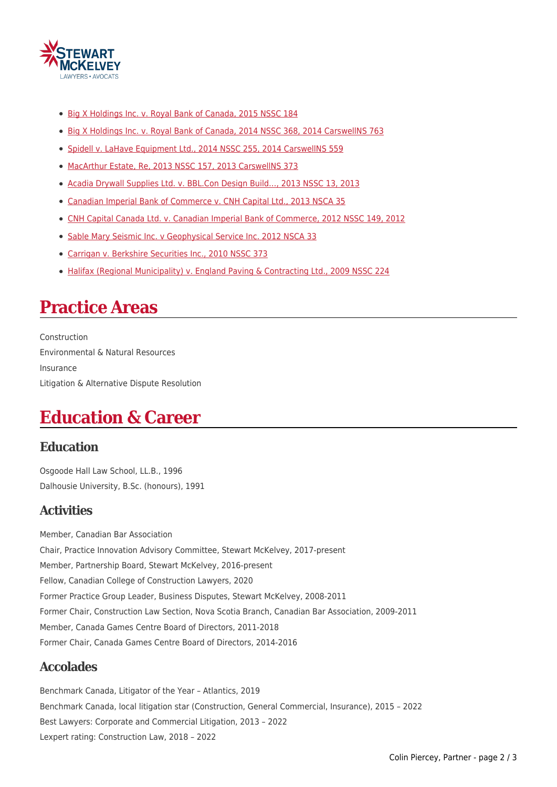

- [Big X Holdings Inc. v. Royal Bank of Canada, 2015 NSSC 184](http://www.stewartmckelvey.com/site/media/stewartmckelvey/2015nssc184.pdf)
- [Big X Holdings Inc. v. Royal Bank of Canada, 2014 NSSC 368, 2014 CarswellNS 763](https://decisions.courts.ns.ca/nsc/nssc/en/item/98095/index.do)
- · [Spidell v. LaHave Equipment Ltd., 2014 NSSC 255, 2014 CarswellNS 559](https://decisions.courts.ns.ca/nsc/nssc/en/item/72664/index.do?r=AAAAAQAvU3BpZGVsbCB2LiBMYUhhdmUgRXF1aXBtZW50IEx0ZC4sIDIwMTQgTlNTQyAyNTUAAAAAAQ)
- [MacArthur Estate, Re, 2013 NSSC 157, 2013 CarswellNS 373](https://decisions.courts.ns.ca/nsc/nssc/en/item/19962/index.do?r=AAAAAQAjTWFjQXJ0aHVyIEVzdGF0ZSwgUmUsIDIwMTMgTlNTQyAxNTcAAAAAAQ)
- Acadia Drywall Supplies Ltd. v. BBL.Con Design Build..., 2013 NSSC 13, 2013
- [Canadian Imperial Bank of Commerce v. CNH Capital Ltd., 2013 NSCA 35](https://decisions.courts.ns.ca/nsc/nsca/en/item/19737/index.do?r=AAAAAQBEQ2FuYWRpYW4gSW1wZXJpYWwgQmFuayBvZiBDb21tZXJjZSB2LiBDTkggQ2FwaXRhbCBMdGQuLCAyMDEzIE5TQ0EgMzUAAAAAAQ)
- [CNH Capital Canada Ltd. v. Canadian Imperial Bank of Commerce, 2012 NSSC 149, 2012](https://decisions.courts.ns.ca/nsc/nssc/en/item/18642/index.do?r=AAAAAQBMQ05IIENhcGl0YWwgQ2FuYWRhIEx0ZC4gdi4gQ2FuYWRpYW4gSW1wZXJpYWwgQmFuayBvZiBDb21tZXJjZSwgMjAxMiBOU1NDIDE0OQAAAAAB)
- [Sable Mary Seismic Inc. v Geophysical Service Inc. 2012 NSCA 33](https://decisions.courts.ns.ca/nsc/nsca/en/item/13637/index.do?r=AAAAAQA_U2FibGUgTWFyeSBTZWlzbWljIEluYy4gdiBHZW9waHlzaWNhbCBTZXJ2aWNlIEluYy4gMjAxMiBOU0NBIDMzAAAAAAE)
- [Carrigan v. Berkshire Securities Inc., 2010 NSSC 373](https://decisions.courts.ns.ca/nsc/nssc/en/item/16360/index.do?r=AAAAAQA0Q2FycmlnYW4gdi4gQmVya3NoaXJlIFNlY3VyaXRpZXMgSW5jLiwgMjAxMCBOU1NDIDM3MwAAAAAB)
- [Halifax \(Regional Municipality\) v. England Paving & Contracting Ltd., 2009 NSSC 224](https://decisions.courts.ns.ca/nsc/nssc/en/item/15077/index.do?r=AAAAAQBTSGFsaWZheCAoUmVnaW9uYWwgTXVuaWNpcGFsaXR5KSB2LiBFbmdsYW5kIFBhdmluZyAmIENvbnRyYWN0aW5nIEx0ZC4sIDIwMDkgTlNTQyAyMjQAAAAAAQ)

### **Practice Areas**

Construction Environmental & Natural Resources Insurance Litigation & Alternative Dispute Resolution

### **Education & Career**

#### **Education**

Osgoode Hall Law School, LL.B., 1996 Dalhousie University, B.Sc. (honours), 1991

### **Activities**

Member, Canadian Bar Association Chair, Practice Innovation Advisory Committee, Stewart McKelvey, 2017-present Member, Partnership Board, Stewart McKelvey, 2016-present Fellow, Canadian College of Construction Lawyers, 2020 Former Practice Group Leader, Business Disputes, Stewart McKelvey, 2008-2011 Former Chair, Construction Law Section, Nova Scotia Branch, Canadian Bar Association, 2009-2011 Member, Canada Games Centre Board of Directors, 2011-2018 Former Chair, Canada Games Centre Board of Directors, 2014-2016

### **Accolades**

Benchmark Canada, Litigator of the Year – Atlantics, 2019 Benchmark Canada, local litigation star (Construction, General Commercial, Insurance), 2015 – 2022 Best Lawyers: Corporate and Commercial Litigation, 2013 – 2022 Lexpert rating: Construction Law, 2018 – 2022